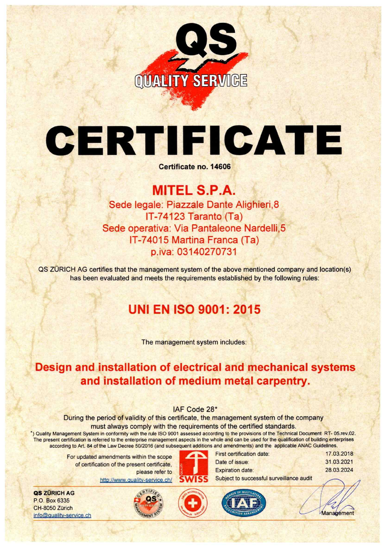

# CERTI FICATE

Certificate no. 14606

#### MITEL S.P.A. Sede legale: Piazzale Dante Alighieri, 8 IT-74123 Taranto (Ta) Sede operativa: Via Pantaleone Nardelli,5 IT-74015 Martina Franca (Ta) p.iva: 03140270731

QS ZURICH AG certifies that the management system of the above mentioned company and location(s) has been evaluated and meets the requirements established by the following rules:

## UNI EN ISO 9001: 2015

The management system includes:

### Design and installation of electrical and mechanical systems and installation of medium metal carpentry.

#### IAF Code 28\*

During the period of validity of this certificate, the management system of the company must always comply with the requirements of the certified standards.

') Quality Management System in conformity with the rule ISO 9001 assessed according to the provisions of the Technical Document RT- 05.rev.02. The present certification is referred to the enterprise management aspects in the whole and can be used for the qualification of building enterprises according to Art. 84 of the Law Decree 50/2016 (and subsequent additions and amendments) and the applicable ANAC Guidelines.

> For updated amendments within the scope of certification of the present certificate, please refer to

> > htto://www.auality-service.ch/

QS ZÜRICH AG P.O. Box 6335 CH-8050 Zürich info@quality-service.ch



Date of issue:

First certification date:



Subject to successful surveillance audit